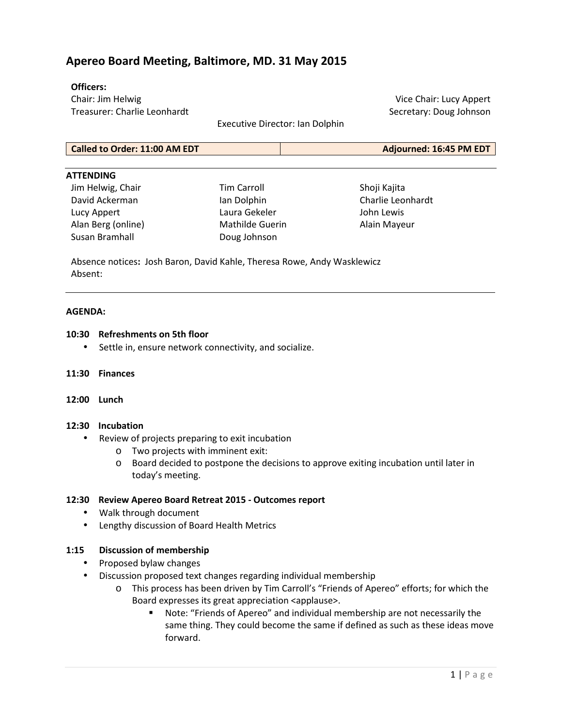# **Apereo Board Meeting, Baltimore, MD. 31 May 2015**

#### **Officers:**

Chair: Jim Helwig Treasurer: Charlie Leonhardt

Executive Director: Ian Dolphin

Vice Chair: Lucy Appert Secretary: Doug Johnson

**Called to Order: 11:00 AM EDT Adjourned: 16:45 PM EDT**

#### **ATTENDING**

Jim Helwig, Chair David Ackerman Lucy Appert Alan Berg (online) Susan Bramhall

Tim Carroll Ian Dolphin Laura Gekeler Mathilde Guerin Doug Johnson

Shoji Kajita Charlie Leonhardt John Lewis Alain Mayeur

Absence notices**:** Josh Baron, David Kahle, Theresa Rowe, Andy Wasklewicz Absent:

#### **AGENDA:**

#### **10:30 Refreshments on 5th floor**

- Settle in, ensure network connectivity, and socialize.
- **11:30 Finances**
- **12:00 Lunch**

## **12:30 Incubation**

- Review of projects preparing to exit incubation
	- o Two projects with imminent exit:
	- o Board decided to postpone the decisions to approve exiting incubation until later in today's meeting.

#### **12:30 Review Apereo Board Retreat 2015 - Outcomes report**

- Walk through document
- Lengthy discussion of Board Health Metrics

# **1:15 Discussion of membership**

- Proposed bylaw changes
- Discussion proposed text changes regarding individual membership
	- o This process has been driven by Tim Carroll's "Friends of Apereo" efforts; for which the Board expresses its great appreciation <applause>.
		- Note: "Friends of Apereo" and individual membership are not necessarily the same thing. They could become the same if defined as such as these ideas move forward.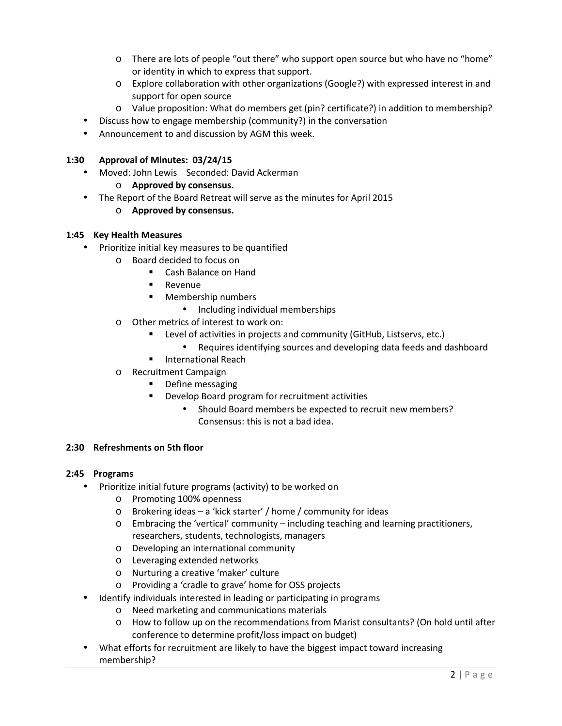- o There are lots of people "out there" who support open source but who have no "home" or identity in which to express that support.
- o Explore collaboration with other organizations (Google?) with expressed interest in and support for open source
- o Value proposition: What do members get (pin? certificate?) in addition to membership?
- Discuss how to engage membership (community?) in the conversation
- Announcement to and discussion by AGM this week.

## **1:30 Approval of Minutes: 03/24/15**

• Moved: John Lewis Seconded: David Ackerman

## o **Approved by consensus.**

• The Report of the Board Retreat will serve as the minutes for April 2015

# o **Approved by consensus.**

## **1:45 Key Health Measures**

- Prioritize initial key measures to be quantified
	- o Board decided to focus on
		- Cash Balance on Hand
		- **Revenue**
		- **Membership numbers** 
			- Including individual memberships
	- o Other metrics of interest to work on:
		- Level of activities in projects and community (GitHub, Listservs, etc.)
			- Requires identifying sources and developing data feeds and dashboard
		- **International Reach**
	- o Recruitment Campaign
		- Define messaging
		- Develop Board program for recruitment activities
			- Should Board members be expected to recruit new members? Consensus: this is not a bad idea.

## **2:30 Refreshments on 5th floor**

#### **2:45 Programs**

- Prioritize initial future programs (activity) to be worked on
	- o Promoting 100% openness
	- o Brokering ideas a 'kick starter' / home / community for ideas
	- o Embracing the 'vertical' community including teaching and learning practitioners, researchers, students, technologists, managers
	- o Developing an international community
	- o Leveraging extended networks
	- o Nurturing a creative 'maker' culture
	- o Providing a 'cradle to grave' home for OSS projects
- Identify individuals interested in leading or participating in programs
	- o Need marketing and communications materials
	- o How to follow up on the recommendations from Marist consultants? (On hold until after conference to determine profit/loss impact on budget)
- What efforts for recruitment are likely to have the biggest impact toward increasing membership?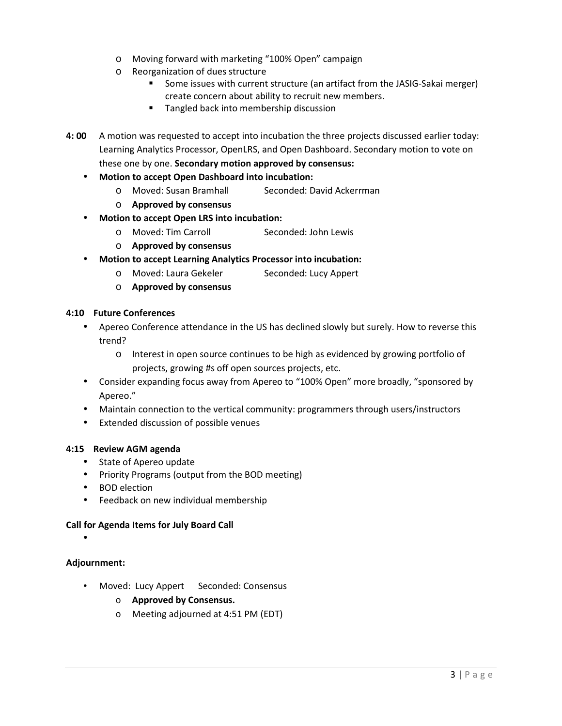- o Moving forward with marketing "100% Open" campaign
- o Reorganization of dues structure
	- Some issues with current structure (an artifact from the JASIG-Sakai merger) create concern about ability to recruit new members.
	- **Tangled back into membership discussion**
- **4: 00** A motion was requested to accept into incubation the three projects discussed earlier today: Learning Analytics Processor, OpenLRS, and Open Dashboard. Secondary motion to vote on these one by one. **Secondary motion approved by consensus:**
	- **Motion to accept Open Dashboard into incubation:** 
		- o Moved: Susan Bramhall Seconded: David Ackerrman
		- o **Approved by consensus**
	- **Motion to accept Open LRS into incubation:** 
		- o Moved: Tim Carroll Seconded: John Lewis
		- o **Approved by consensus**
	- **Motion to accept Learning Analytics Processor into incubation:** 
		- o Moved: Laura Gekeler Seconded: Lucy Appert
		- o **Approved by consensus**

## **4:10 Future Conferences**

- Apereo Conference attendance in the US has declined slowly but surely. How to reverse this trend?
	- o Interest in open source continues to be high as evidenced by growing portfolio of projects, growing #s off open sources projects, etc.
- Consider expanding focus away from Apereo to "100% Open" more broadly, "sponsored by Apereo."
- Maintain connection to the vertical community: programmers through users/instructors
- Extended discussion of possible venues

## **4:15 Review AGM agenda**

- State of Apereo update
- Priority Programs (output from the BOD meeting)
- BOD election
- Feedback on new individual membership

## **Call for Agenda Items for July Board Call**

•

## **Adjournment:**

- Moved: Lucy Appert Seconded: Consensus
	- o **Approved by Consensus.**
	- o Meeting adjourned at 4:51 PM (EDT)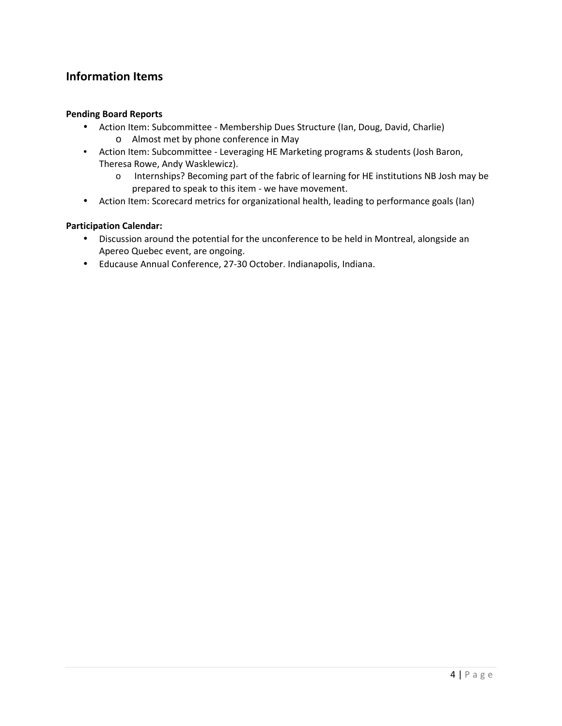# **Information Items**

#### **Pending Board Reports**

- Action Item: Subcommittee Membership Dues Structure (Ian, Doug, David, Charlie) o Almost met by phone conference in May
- Action Item: Subcommittee Leveraging HE Marketing programs & students (Josh Baron, Theresa Rowe, Andy Wasklewicz).
	- o Internships? Becoming part of the fabric of learning for HE institutions NB Josh may be prepared to speak to this item - we have movement.
- Action Item: Scorecard metrics for organizational health, leading to performance goals (Ian)

## **Participation Calendar:**

- Discussion around the potential for the unconference to be held in Montreal, alongside an Apereo Quebec event, are ongoing.
- Educause Annual Conference, 27-30 October. Indianapolis, Indiana.